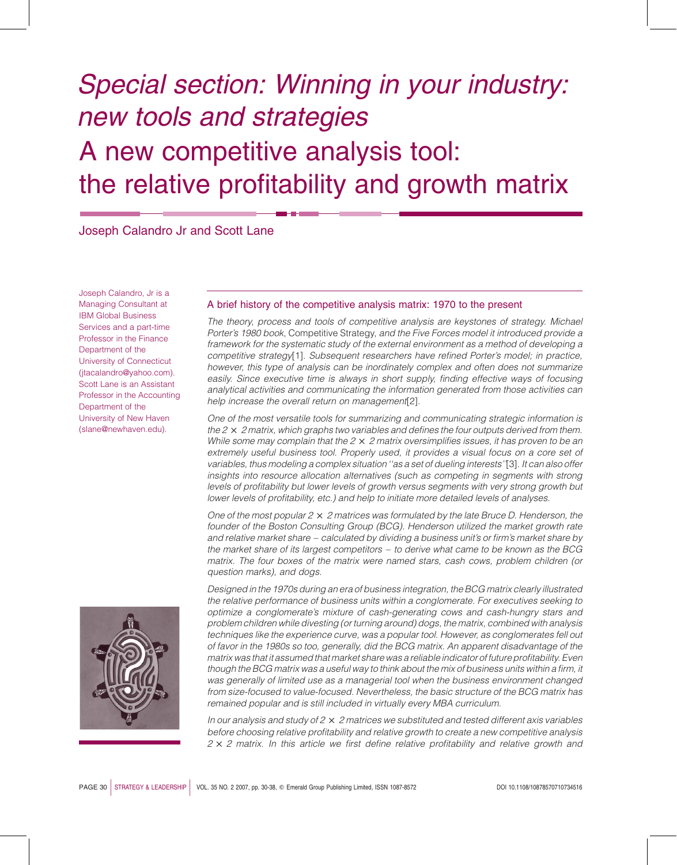# Special section: Winning in your industry: new tools and strategies A new competitive analysis tool: the relative profitability and growth matrix

Joseph Calandro Jr and Scott Lane

Joseph Calandro, Jr is a Managing Consultant at IBM Global Business Services and a part-time Professor in the Finance Department of the University of Connecticut (jtacalandro@yahoo.com). Scott Lane is an Assistant Professor in the Accounting Department of the University of New Haven (slane@newhaven.edu).



# A brief history of the competitive analysis matrix: 1970 to the present

The theory, process and tools of competitive analysis are keystones of strategy. Michael Porter's 1980 book, Competitive Strategy, and the Five Forces model it introduced provide a framework for the systematic study of the external environment as a method of developing a competitive strategy[1]. Subsequent researchers have refined Porter's model; in practice, however, this type of analysis can be inordinately complex and often does not summarize easily. Since executive time is always in short supply, finding effective ways of focusing analytical activities and communicating the information generated from those activities can help increase the overall return on management[2].

One of the most versatile tools for summarizing and communicating strategic information is the  $2 \times 2$  matrix, which graphs two variables and defines the four outputs derived from them. While some may complain that the  $2 \times 2$  matrix oversimplifies issues, it has proven to be an extremely useful business tool. Properly used, it provides a visual focus on a core set of variables, thus modeling a complex situation ''as a set of dueling interests''[3]. It can also offer insights into resource allocation alternatives (such as competing in segments with strong levels of profitability but lower levels of growth versus segments with very strong growth but lower levels of profitability, etc.) and help to initiate more detailed levels of analyses.

One of the most popular  $2 \times 2$  matrices was formulated by the late Bruce D. Henderson, the founder of the Boston Consulting Group (BCG). Henderson utilized the market growth rate and relative market share – calculated by dividing a business unit's or firm's market share by the market share of its largest competitors – to derive what came to be known as the BCG matrix. The four boxes of the matrix were named stars, cash cows, problem children (or question marks), and dogs.

Designed in the 1970s during an era of business integration, the BCG matrix clearly illustrated the relative performance of business units within a conglomerate. For executives seeking to optimize a conglomerate's mixture of cash-generating cows and cash-hungry stars and problem children while divesting (or turning around) dogs, the matrix, combined with analysis techniques like the experience curve, was a popular tool. However, as conglomerates fell out of favor in the 1980s so too, generally, did the BCG matrix. An apparent disadvantage of the matrix was that it assumed that market share was a reliable indicator of future profitability. Even though the BCG matrix was a useful way to think about the mix of business units within a firm, it was generally of limited use as a managerial tool when the business environment changed from size-focused to value-focused. Nevertheless, the basic structure of the BCG matrix has remained popular and is still included in virtually every MBA curriculum.

In our analysis and study of  $2 \times 2$  matrices we substituted and tested different axis variables before choosing relative profitability and relative growth to create a new competitive analysis  $2 \times 2$  matrix. In this article we first define relative profitability and relative growth and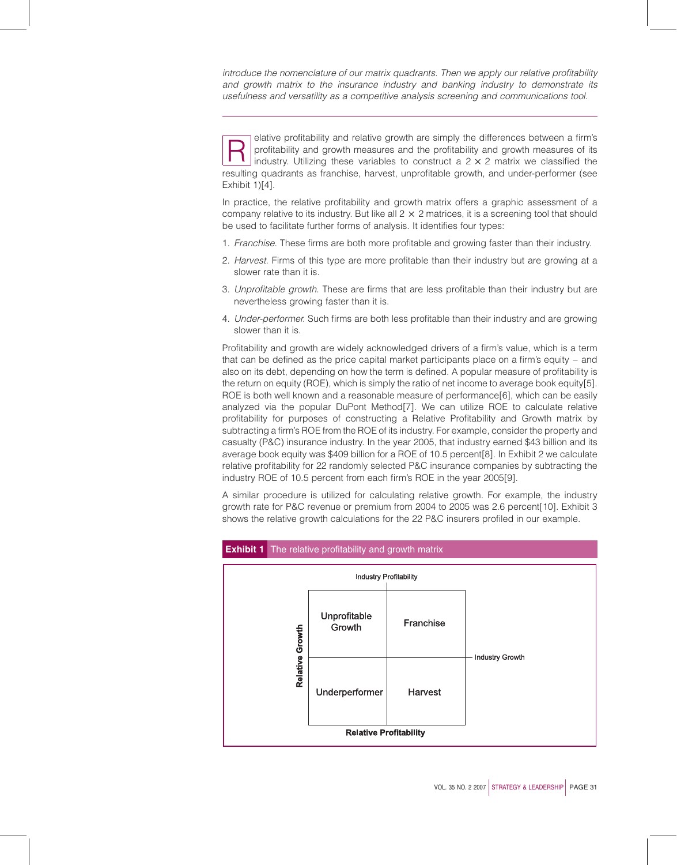introduce the nomenclature of our matrix quadrants. Then we apply our relative profitability and growth matrix to the insurance industry and banking industry to demonstrate its usefulness and versatility as a competitive analysis screening and communications tool.

elative profitability and relative growth are simply the differences between a firm's<br>profitability and growth measures and the profitability and growth measures of its<br>industry. Utilizing these variables to construct a 2 profitability and growth measures and the profitability and growth measures of its resulting quadrants as franchise, harvest, unprofitable growth, and under-performer (see Exhibit  $1)[4]$ .

In practice, the relative profitability and growth matrix offers a graphic assessment of a company relative to its industry. But like all  $2 \times 2$  matrices, it is a screening tool that should be used to facilitate further forms of analysis. It identifies four types:

- 1. Franchise. These firms are both more profitable and growing faster than their industry.
- 2. Harvest. Firms of this type are more profitable than their industry but are growing at a slower rate than it is.
- 3. Unprofitable growth. These are firms that are less profitable than their industry but are nevertheless growing faster than it is.
- 4. Under-performer. Such firms are both less profitable than their industry and are growing slower than it is.

Profitability and growth are widely acknowledged drivers of a firm's value, which is a term that can be defined as the price capital market participants place on a firm's equity – and also on its debt, depending on how the term is defined. A popular measure of profitability is the return on equity (ROE), which is simply the ratio of net income to average book equity[5]. ROE is both well known and a reasonable measure of performance[6], which can be easily analyzed via the popular DuPont Method[7]. We can utilize ROE to calculate relative profitability for purposes of constructing a Relative Profitability and Growth matrix by subtracting a firm's ROE from the ROE of its industry. For example, consider the property and casualty (P&C) insurance industry. In the year 2005, that industry earned \$43 billion and its average book equity was \$409 billion for a ROE of 10.5 percent[8]. In Exhibit 2 we calculate relative profitability for 22 randomly selected P&C insurance companies by subtracting the industry ROE of 10.5 percent from each firm's ROE in the year 2005[9].

A similar procedure is utilized for calculating relative growth. For example, the industry growth rate for P&C revenue or premium from 2004 to 2005 was 2.6 percent[10]. Exhibit 3 shows the relative growth calculations for the 22 P&C insurers profiled in our example.

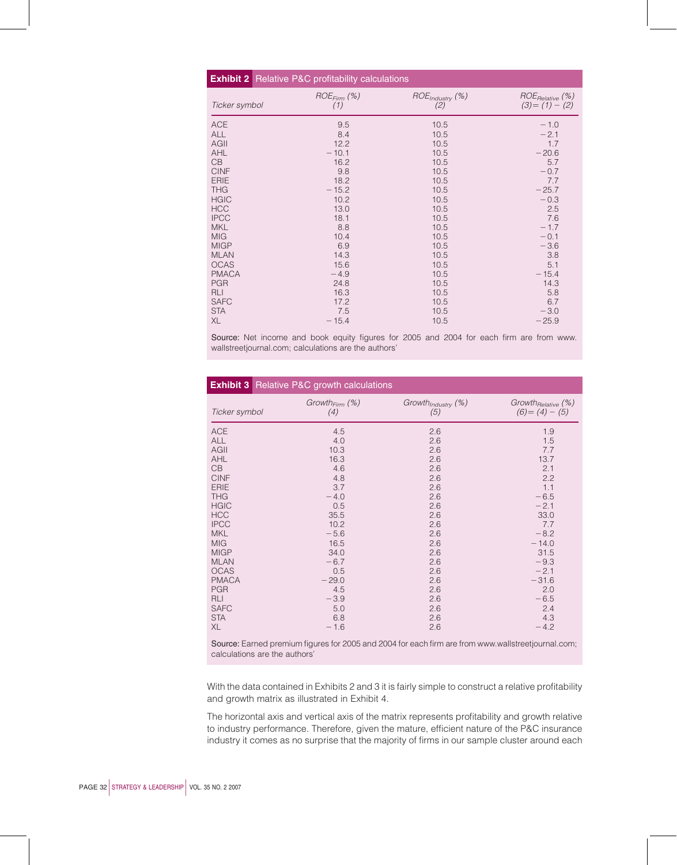| <b>Exhibit 2</b> Relative P&C profitability calculations |                  |                             |                         |  |  |  |  |
|----------------------------------------------------------|------------------|-----------------------------|-------------------------|--|--|--|--|
| Ticker symbol                                            | $ROE_{Firm}$ $%$ | ROE <sub>Industry</sub> (%) | $ROE_{Relative}$ $(\%)$ |  |  |  |  |
|                                                          | (1)              | (2)                         | $(3)=(1)-(2)$           |  |  |  |  |
| <b>ACE</b>                                               | 9.5              | 10.5                        | $-1.0$                  |  |  |  |  |
| <b>ALL</b>                                               | 8.4              | 10.5                        | $-2.1$                  |  |  |  |  |
| AGII                                                     | 12.2             | 10.5                        | 1.7                     |  |  |  |  |
| AHL                                                      | $-10.1$          | 10.5                        | $-20.6$                 |  |  |  |  |
| CB                                                       | 16.2             | 10.5                        | 5.7                     |  |  |  |  |
| <b>CINF</b>                                              | 9.8              | 10.5                        | $-0.7$                  |  |  |  |  |
| <b>ERIE</b>                                              | 18.2             | 10.5                        | 7.7                     |  |  |  |  |
| <b>THG</b>                                               | $-15.2$          | 10.5                        | $-25.7$                 |  |  |  |  |
| <b>HGIC</b>                                              | 10.2             | 10.5                        | $-0.3$                  |  |  |  |  |
| <b>HCC</b>                                               | 13.0             | 10.5                        | 2.5                     |  |  |  |  |
| <b>IPCC</b>                                              | 18.1             | 10.5                        | 7.6                     |  |  |  |  |
| <b>MKL</b>                                               | 8.8              | 10.5                        | $-1.7$                  |  |  |  |  |
| <b>MIG</b>                                               | 10.4             | 10.5                        | $-0.1$                  |  |  |  |  |
| <b>MIGP</b>                                              | 6.9              | 10.5                        | $-3.6$                  |  |  |  |  |
| <b>MLAN</b>                                              | 14.3             | 10.5                        | 3.8                     |  |  |  |  |
| <b>OCAS</b>                                              | 15.6             | 10.5                        | 5.1                     |  |  |  |  |
| <b>PMACA</b>                                             | $-4.9$           | 10.5                        | $-15.4$                 |  |  |  |  |
| <b>PGR</b>                                               | 24.8             | 10.5                        | 14.3                    |  |  |  |  |
| <b>RLI</b>                                               | 16.3             | 10.5                        | 5.8                     |  |  |  |  |
| <b>SAFC</b>                                              | 17.2             | 10.5                        | 6.7                     |  |  |  |  |
| <b>STA</b>                                               | 7.5              | 10.5                        | $-3.0$                  |  |  |  |  |
| XL                                                       | $-15.4$          | 10.5                        | $-25.9$                 |  |  |  |  |

Source: Net income and book equity figures for 2005 and 2004 for each firm are from www. wallstreetjournal.com; calculations are the authors'

|               | <b>Exhibit 3</b> Relative P&C growth calculations |                                |                          |
|---------------|---------------------------------------------------|--------------------------------|--------------------------|
| Ticker symbol | Growth <sub>Firm</sub> $(\%)$                     | Growth <sub>Industry</sub> (%) | Growth $_{Relative}$ (%) |
|               | (4)                                               | (5)                            | $(6) = (4) - (5)$        |
| <b>ACE</b>    | 4.5                                               | 2.6                            | 1.9                      |
| <b>ALL</b>    | 4.0                                               | 2.6                            | 1.5                      |
| AGII          | 10.3                                              | 2.6                            | 7.7                      |
| AHL           | 16.3                                              | 2.6                            | 13.7                     |
| CB            | 4.6                                               | 2.6                            | 2.1                      |
| <b>CINF</b>   | 4.8                                               | 2.6                            | 2.2                      |
| <b>ERIE</b>   | 3.7                                               | 2.6                            | 1.1                      |
| <b>THG</b>    | $-4.0$                                            | 2.6                            | $-6.5$                   |
| <b>HGIC</b>   | 0.5                                               | 2.6                            | $-2.1$                   |
| <b>HCC</b>    | 35.5                                              | 2.6                            | 33.0                     |
| <b>IPCC</b>   | 10.2                                              | 2.6                            | 7.7                      |
| <b>MKL</b>    | $-5.6$                                            | 2.6                            | $-8.2$                   |
| <b>MIG</b>    | 16.5                                              | 2.6                            | $-14.0$                  |
| <b>MIGP</b>   | 34.0                                              | 2.6                            | 31.5                     |
| <b>MLAN</b>   | $-6.7$                                            | 2.6                            | $-9.3$                   |
| <b>OCAS</b>   | 0.5                                               | 2.6                            | $-2.1$                   |
| <b>PMACA</b>  | $-29.0$                                           | 2.6                            | $-31.6$                  |
| <b>PGR</b>    | 4.5                                               | 2.6                            | 2.0                      |
| <b>RLI</b>    | $-3.9$                                            | 2.6                            | $-6.5$                   |
| <b>SAFC</b>   | 5.0                                               | 2.6                            | 2.4                      |
| <b>STA</b>    | 6.8                                               | 2.6                            | 4.3                      |
| XL            | $-1.6$                                            | 2.6                            | $-4.2$                   |

Source: Earned premium figures for 2005 and 2004 for each firm are from www.wallstreetjournal.com; calculations are the authors'

With the data contained in Exhibits 2 and 3 it is fairly simple to construct a relative profitability and growth matrix as illustrated in Exhibit 4.

The horizontal axis and vertical axis of the matrix represents profitability and growth relative to industry performance. Therefore, given the mature, efficient nature of the P&C insurance industry it comes as no surprise that the majority of firms in our sample cluster around each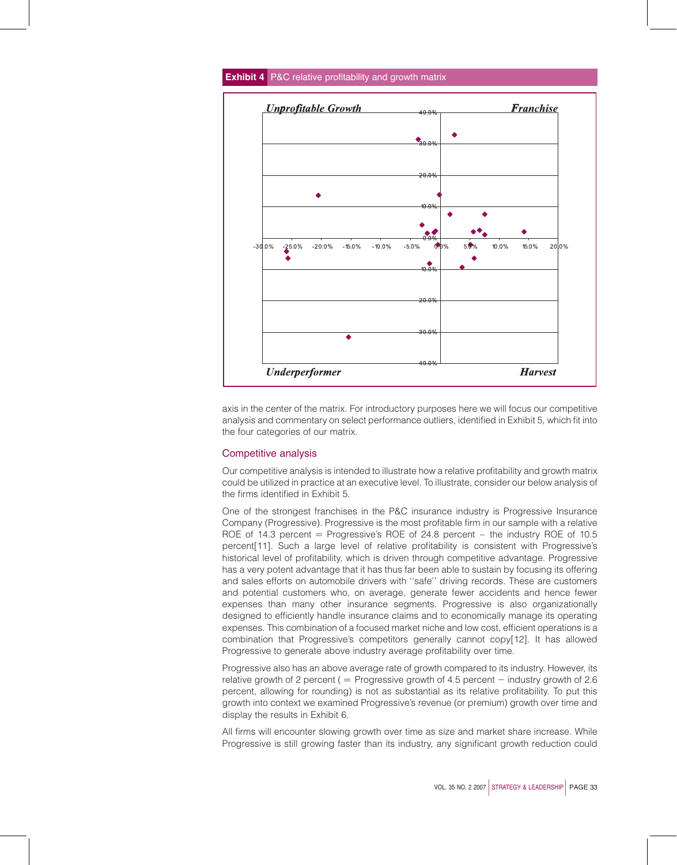

**Exhibit 4** P&C relative profitability and growth matrix

axis in the center of the matrix. For introductory purposes here we will focus our competitive analysis and commentary on select performance outliers, identified in Exhibit 5, which fit into the four categories of our matrix.

## Competitive analysis

Our competitive analysis is intended to illustrate how a relative profitability and growth matrix could be utilized in practice at an executive level. To illustrate, consider our below analysis of the firms identified in Exhibit 5.

One of the strongest franchises in the P&C insurance industry is Progressive Insurance Company (Progressive). Progressive is the most profitable firm in our sample with a relative ROE of 14.3 percent  $=$  Progressive's ROE of 24.8 percent  $-$  the industry ROE of 10.5 percent[11]. Such a large level of relative profitability is consistent with Progressive's historical level of profitability, which is driven through competitive advantage. Progressive has a very potent advantage that it has thus far been able to sustain by focusing its offering and sales efforts on automobile drivers with ''safe'' driving records. These are customers and potential customers who, on average, generate fewer accidents and hence fewer expenses than many other insurance segments. Progressive is also organizationally designed to efficiently handle insurance claims and to economically manage its operating expenses. This combination of a focused market niche and low cost, efficient operations is a combination that Progressive's competitors generally cannot copy[12]. It has allowed Progressive to generate above industry average profitability over time.

Progressive also has an above average rate of growth compared to its industry. However, its relative growth of 2 percent (  $=$  Progressive growth of 4.5 percent  $-$  industry growth of 2.6 percent, allowing for rounding) is not as substantial as its relative profitability. To put this growth into context we examined Progressive's revenue (or premium) growth over time and display the results in Exhibit 6.

All firms will encounter slowing growth over time as size and market share increase. While Progressive is still growing faster than its industry, any significant growth reduction could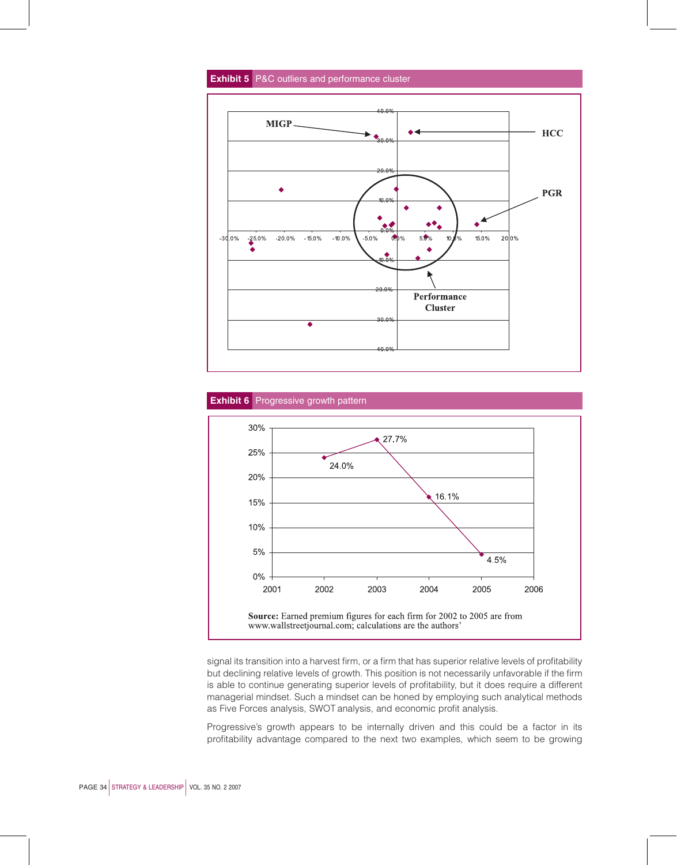# **Exhibit 5** P&C outliers and performance cluster







signal its transition into a harvest firm, or a firm that has superior relative levels of profitability but declining relative levels of growth. This position is not necessarily unfavorable if the firm is able to continue generating superior levels of profitability, but it does require a different managerial mindset. Such a mindset can be honed by employing such analytical methods as Five Forces analysis, SWOT analysis, and economic profit analysis.

Progressive's growth appears to be internally driven and this could be a factor in its profitability advantage compared to the next two examples, which seem to be growing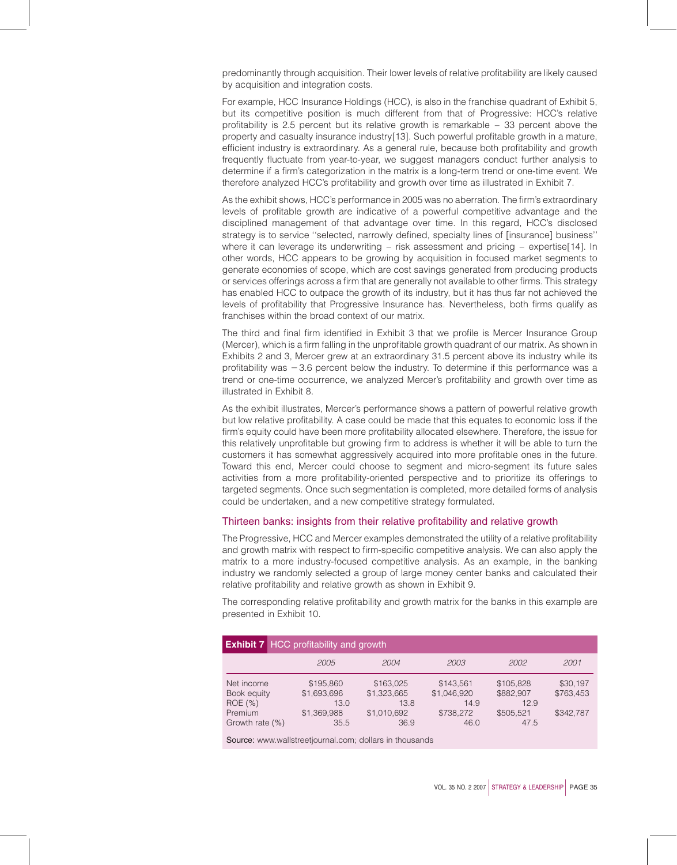predominantly through acquisition. Their lower levels of relative profitability are likely caused by acquisition and integration costs.

For example, HCC Insurance Holdings (HCC), is also in the franchise quadrant of Exhibit 5, but its competitive position is much different from that of Progressive: HCC's relative profitability is 2.5 percent but its relative growth is remarkable – 33 percent above the property and casualty insurance industry[13]. Such powerful profitable growth in a mature, efficient industry is extraordinary. As a general rule, because both profitability and growth frequently fluctuate from year-to-year, we suggest managers conduct further analysis to determine if a firm's categorization in the matrix is a long-term trend or one-time event. We therefore analyzed HCC's profitability and growth over time as illustrated in Exhibit 7.

As the exhibit shows, HCC's performance in 2005 was no aberration. The firm's extraordinary levels of profitable growth are indicative of a powerful competitive advantage and the disciplined management of that advantage over time. In this regard, HCC's disclosed strategy is to service ''selected, narrowly defined, specialty lines of [insurance] business'' where it can leverage its underwriting – risk assessment and pricing – expertise[14]. In other words, HCC appears to be growing by acquisition in focused market segments to generate economies of scope, which are cost savings generated from producing products or services offerings across a firm that are generally not available to other firms. This strategy has enabled HCC to outpace the growth of its industry, but it has thus far not achieved the levels of profitability that Progressive Insurance has. Nevertheless, both firms qualify as franchises within the broad context of our matrix.

The third and final firm identified in Exhibit 3 that we profile is Mercer Insurance Group (Mercer), which is a firm falling in the unprofitable growth quadrant of our matrix. As shown in Exhibits 2 and 3, Mercer grew at an extraordinary 31.5 percent above its industry while its profitability was  $-3.6$  percent below the industry. To determine if this performance was a trend or one-time occurrence, we analyzed Mercer's profitability and growth over time as illustrated in Exhibit 8.

As the exhibit illustrates, Mercer's performance shows a pattern of powerful relative growth but low relative profitability. A case could be made that this equates to economic loss if the firm's equity could have been more profitability allocated elsewhere. Therefore, the issue for this relatively unprofitable but growing firm to address is whether it will be able to turn the customers it has somewhat aggressively acquired into more profitable ones in the future. Toward this end, Mercer could choose to segment and micro-segment its future sales activities from a more profitability-oriented perspective and to prioritize its offerings to targeted segments. Once such segmentation is completed, more detailed forms of analysis could be undertaken, and a new competitive strategy formulated.

#### Thirteen banks: insights from their relative profitability and relative growth

The Progressive, HCC and Mercer examples demonstrated the utility of a relative profitability and growth matrix with respect to firm-specific competitive analysis. We can also apply the matrix to a more industry-focused competitive analysis. As an example, in the banking industry we randomly selected a group of large money center banks and calculated their relative profitability and relative growth as shown in Exhibit 9.

The corresponding relative profitability and growth matrix for the banks in this example are presented in Exhibit 10.

| <b>Exhibit 7</b> HCC profitability and growth                      |                                                         |                                                         |                                                       |                                                     |                                    |  |  |
|--------------------------------------------------------------------|---------------------------------------------------------|---------------------------------------------------------|-------------------------------------------------------|-----------------------------------------------------|------------------------------------|--|--|
|                                                                    | 2005                                                    | 2004                                                    | 2003                                                  | 2002                                                | 2001                               |  |  |
| Net income<br>Book equity<br>ROE (%)<br>Premium<br>Growth rate (%) | \$195.860<br>\$1,693,696<br>13.0<br>\$1.369.988<br>35.5 | \$163,025<br>\$1,323,665<br>13.8<br>\$1,010,692<br>36.9 | \$143.561<br>\$1.046.920<br>14.9<br>\$738,272<br>46.0 | \$105.828<br>\$882.907<br>12.9<br>\$505.521<br>47.5 | \$30,197<br>\$763.453<br>\$342.787 |  |  |

Source: www.wallstreetjournal.com; dollars in thousands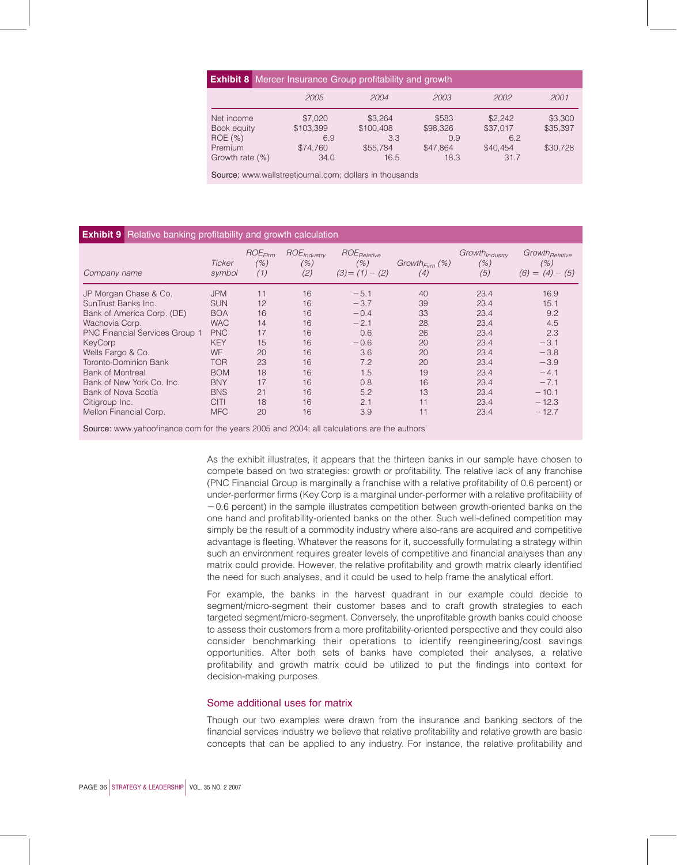| <b>Exhibit 8</b> Mercer Insurance Group profitability and growth                                                                                                                                                                                             |                             |                             |                          |                            |                     |  |
|--------------------------------------------------------------------------------------------------------------------------------------------------------------------------------------------------------------------------------------------------------------|-----------------------------|-----------------------------|--------------------------|----------------------------|---------------------|--|
|                                                                                                                                                                                                                                                              | 2005                        | 2004                        | 2003                     | 2002                       | 2001                |  |
| Net income<br>Book equity<br>ROE (%)                                                                                                                                                                                                                         | \$7,020<br>\$103,399<br>6.9 | \$3,264<br>\$100,408<br>3.3 | \$583<br>\$98,326<br>0.9 | \$2,242<br>\$37,017<br>6.2 | \$3,300<br>\$35,397 |  |
| Premium<br>Growth rate (%)<br>Organization of the contract of the contract of the contract of the contract of the contract of the contract of the contract of the contract of the contract of the contract of the contract of the contract of the contract o | \$74.760<br>34.0            | \$55,784<br>16.5            | \$47.864<br>18.3         | \$40.454<br>31.7           | \$30.728            |  |

Source: www.wallstreetjournal.com; dollars in thousands

# **Exhibit 9** Relative banking profitability and growth calculation

| Company name                          | Ticker<br>symbol | $ROE_{Firm}$<br>(%)<br>(1) | ROE <sub>Industry</sub><br>(% )<br>(2) | ROE <sub>Relative</sub><br>(% )<br>$(3)=(1)-(2)$ | $Growth_{Firm}$ (%)<br>(4) | Growth <sub>Industry</sub><br>(% )<br>(5) | Growth <sub>Relative</sub><br>(% )<br>$(6) = (4) - (5)$ |
|---------------------------------------|------------------|----------------------------|----------------------------------------|--------------------------------------------------|----------------------------|-------------------------------------------|---------------------------------------------------------|
| JP Morgan Chase & Co.                 | <b>JPM</b>       | 11                         | 16                                     | $-5.1$                                           | 40                         | 23.4                                      | 16.9                                                    |
| SunTrust Banks Inc.                   | <b>SUN</b>       | 12                         | 16                                     | $-3.7$                                           | 39                         | 23.4                                      | 15.1                                                    |
| Bank of America Corp. (DE)            | <b>BOA</b>       | 16                         | 16                                     | $-0.4$                                           | 33                         | 23.4                                      | 9.2                                                     |
| Wachovia Corp.                        | <b>WAC</b>       | 14                         | 16                                     | $-2.1$                                           | 28                         | 23.4                                      | 4.5                                                     |
| <b>PNC Financial Services Group 1</b> | <b>PNC</b>       | 17                         | 16                                     | 0.6                                              | 26                         | 23.4                                      | 2.3                                                     |
| KeyCorp                               | <b>KEY</b>       | 15                         | 16                                     | $-0.6$                                           | 20                         | 23.4                                      | $-3.1$                                                  |
| Wells Fargo & Co.                     | WF               | 20                         | 16                                     | 3.6                                              | 20                         | 23.4                                      | $-3.8$                                                  |
| Toronto-Dominion Bank                 | <b>TOR</b>       | 23                         | 16                                     | 7.2                                              | 20                         | 23.4                                      | $-3.9$                                                  |
| <b>Bank of Montreal</b>               | <b>BOM</b>       | 18                         | 16                                     | 1.5                                              | 19                         | 23.4                                      | $-4.1$                                                  |
| Bank of New York Co. Inc.             | <b>BNY</b>       | 17                         | 16                                     | 0.8                                              | 16                         | 23.4                                      | $-7.1$                                                  |
| Bank of Nova Scotia                   | <b>BNS</b>       | 21                         | 16                                     | 5.2                                              | 13                         | 23.4                                      | $-10.1$                                                 |
| Citigroup Inc.                        | <b>CITI</b>      | 18                         | 16                                     | 2.1                                              | 11                         | 23.4                                      | $-12.3$                                                 |
| Mellon Financial Corp.                | <b>MFC</b>       | 20                         | 16                                     | 3.9                                              | 11                         | 23.4                                      | $-12.7$                                                 |

Source: www.yahoofinance.com for the years 2005 and 2004; all calculations are the authors'

As the exhibit illustrates, it appears that the thirteen banks in our sample have chosen to compete based on two strategies: growth or profitability. The relative lack of any franchise (PNC Financial Group is marginally a franchise with a relative profitability of 0.6 percent) or under-performer firms (Key Corp is a marginal under-performer with a relative profitability of  $-0.6$  percent) in the sample illustrates competition between growth-oriented banks on the one hand and profitability-oriented banks on the other. Such well-defined competition may simply be the result of a commodity industry where also-rans are acquired and competitive advantage is fleeting. Whatever the reasons for it, successfully formulating a strategy within such an environment requires greater levels of competitive and financial analyses than any matrix could provide. However, the relative profitability and growth matrix clearly identified the need for such analyses, and it could be used to help frame the analytical effort.

For example, the banks in the harvest quadrant in our example could decide to segment/micro-segment their customer bases and to craft growth strategies to each targeted segment/micro-segment. Conversely, the unprofitable growth banks could choose to assess their customers from a more profitability-oriented perspective and they could also consider benchmarking their operations to identify reengineering/cost savings opportunities. After both sets of banks have completed their analyses, a relative profitability and growth matrix could be utilized to put the findings into context for decision-making purposes.

## Some additional uses for matrix

Though our two examples were drawn from the insurance and banking sectors of the financial services industry we believe that relative profitability and relative growth are basic concepts that can be applied to any industry. For instance, the relative profitability and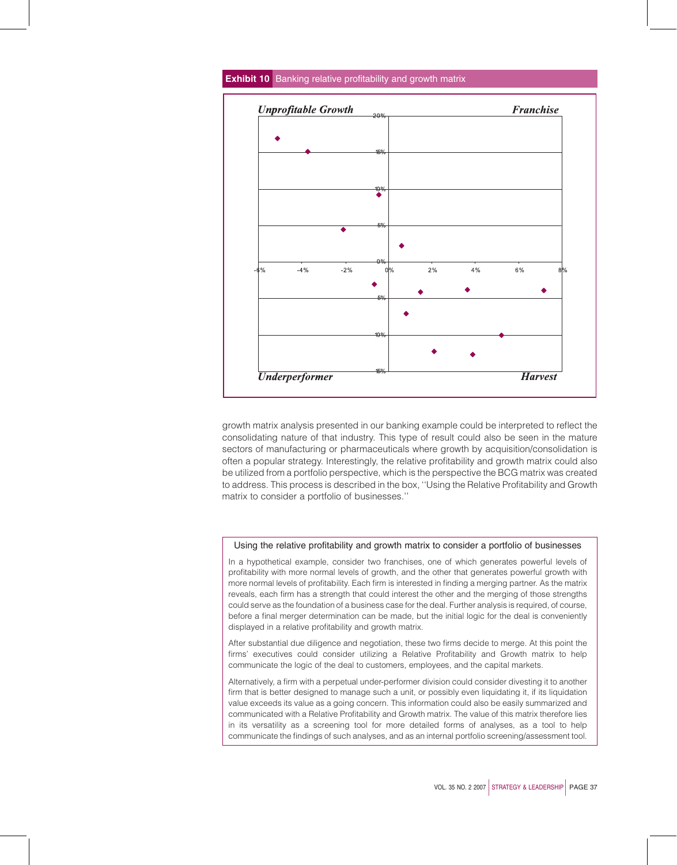

**Exhibit 10** Banking relative profitability and growth matrix

growth matrix analysis presented in our banking example could be interpreted to reflect the consolidating nature of that industry. This type of result could also be seen in the mature sectors of manufacturing or pharmaceuticals where growth by acquisition/consolidation is often a popular strategy. Interestingly, the relative profitability and growth matrix could also be utilized from a portfolio perspective, which is the perspective the BCG matrix was created to address. This process is described in the box, ''Using the Relative Profitability and Growth matrix to consider a portfolio of businesses.''

#### Using the relative profitability and growth matrix to consider a portfolio of businesses

In a hypothetical example, consider two franchises, one of which generates powerful levels of profitability with more normal levels of growth, and the other that generates powerful growth with more normal levels of profitability. Each firm is interested in finding a merging partner. As the matrix reveals, each firm has a strength that could interest the other and the merging of those strengths could serve as the foundation of a business case for the deal. Further analysis is required, of course, before a final merger determination can be made, but the initial logic for the deal is conveniently displayed in a relative profitability and growth matrix.

After substantial due diligence and negotiation, these two firms decide to merge. At this point the firms' executives could consider utilizing a Relative Profitability and Growth matrix to help communicate the logic of the deal to customers, employees, and the capital markets.

Alternatively, a firm with a perpetual under-performer division could consider divesting it to another firm that is better designed to manage such a unit, or possibly even liquidating it, if its liquidation value exceeds its value as a going concern. This information could also be easily summarized and communicated with a Relative Profitability and Growth matrix. The value of this matrix therefore lies in its versatility as a screening tool for more detailed forms of analyses, as a tool to help communicate the findings of such analyses, and as an internal portfolio screening/assessment tool.